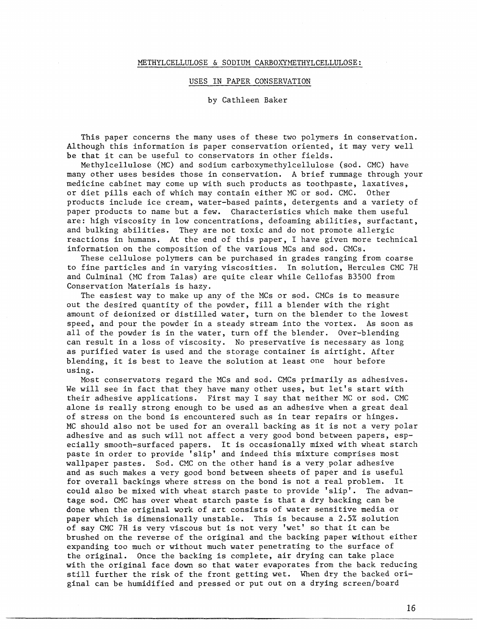## METHYLCELLULOSE & SODIUM CARBOXYMETHYLCELLULOSE:

## USES IN PAPER CONSERVATION

by Cathleen Baker

This paper concerns the many uses of these two polymers in conservation. Although this information is paper conservation oriented, it may very well be that it can be useful to conservators in other fields.

Methylcellulose (MC) and sodium carboxymethylcellulose (sod. CMC) have many other uses besides those in conservation. A brief rummage through your medicine cabinet may come up with such products as toothpaste, laxatives, or diet pills each of which may contain either MC or sod. CMC. Other products include ice cream, water-based paints, detergents and a variety of paper products to name but a few. Characteristics which make them useful are: high viscosity in low concentrations, defoaming abilities, surfactant, and bulking abilities. They are not toxic and do not promote allergic reactions in humans. At the end of this paper, I have given more technical information on the composition of the various MCs and sod. CMCs.

These cellulose polymers can be purchased in grades ranging from coarse to fine particles and in varying viscosities. In solution, Hercules CMC 7H and Culminal (MC from Talas) are quite clear while Cellofas B35O0 from Conservation Materials is hazy.

The easiest way to make up any of the MCs or sod. CMCs is to measure out the desired quantity of the powder, fill a blender with the right amount of deionized or distilled water, turn on the blender to the lowest speed, and pour the powder in a steady stream into the vortex. As soon as all of the powder is in the water, turn off the blender. Over-blending can result in a loss of viscosity. No preservative is necessary as long as purified water is used and the storage container is airtight. After blending, it is best to leave the solution at least one hour before using.

Most conservators regard the MCs and sod. CMCs primarily as adhesives. We will see in fact that they have many other uses, but let's start with their adhesive applications. First may I say that neither MC or sod. CMC alone is really strong enough to be used as an adhesive when a great deal of stress on the bond is encountered such as in tear repairs or hinges. MC should also not be used for an overall backing as it is not a very polar adhesive and as such will not affect a very good bond between papers, especially smooth-surfaced papers. It is occasionally mixed with wheat starch paste in order to provide 'slip' and indeed this mixture comprises most wallpaper pastes. Sod. CMC on the other hand is a very polar adhesive and as such makes a very good bond between sheets of paper and is useful for overall backings where stress on the bond is not a real problem. It could also be mixed with wheat starch paste to provide 'slip'. The advantage sod. CMC has over wheat starch paste is that a dry backing can be done when the original work of art consists of water sensitive media or paper which is dimensionally unstable. This is because a 2.5% solution of say CMC 7H is very viscous but is not very 'wet' so that it can be brushed on the reverse of the original and the backing paper without either expanding too much or without much water penetrating to the surface of the original. Once the backing is complete, air drying can take place with the original face down so that water evaporates from the back reducing still further the risk of the front getting wet. When dry the backed original can be humidified and pressed or put out on a drying screen/board

16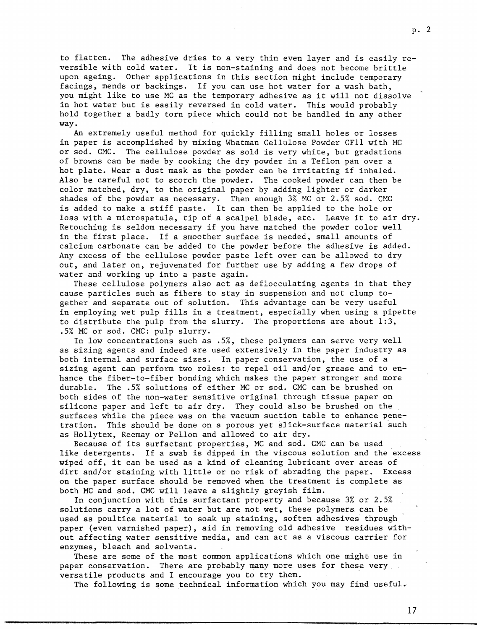to flatten. The adhesive dries to a very thin even layer and is easily reversible with cold water. It is non-staining and does not become brittle upon ageing. Other applications in this section might include temporary facings, mends or backings. If you can use hot water for a wash bath, you might like to use MC as the temporary adhesive as it will not dissolve in hot water but is easily reversed in cold water. This would probably hold together a badly torn piece which could not be handled in any other way.

An extremely useful method for quickly filling small holes or losses in paper is accomplished by mixing Whatman Cellulose Powder CFll with MC or sod. CMC. The cellulose powder as sold is very white, but gradations of browns can be made by cooking the dry powder in a Teflon pan over a hot plate. Wear a dust mask as the powder can be irritating if inhaled. Also be careful not to scorch the powder. The cooked powder can then be color matched, dry, to the original paper by adding lighter or darker shades of the powder as necessary. Then enough 3% MC or 2.5% sod. CMC is added to make a stiff paste. It can then be applied to the hole or loss with a microspatula, tip of a scalpel blade, etc. Leave it to air dry. Retouching is seldom necessary if you have matched the powder color well in the first place. If a smoother surface is needed, small amounts of calcium carbonate can be added to the powder before the adhesive is added. Any excess of the cellulose powder paste left over can be allowed to dry out, and later on, rejuvenated for further use by adding a few drops of water and working up into a paste again.

These cellulose polymers also act as deflocculating agents in that they cause particles such as fibers to stay in suspension and not clump together and separate out of solution. This advantage can be very useful in employing wet pulp fills in a treatment, especially when using a pipette to distribute the pulp from the slurry. The proportions are about 1:3, .5% MC or sod. CMC: pulp slurry.

In low concentrations such as .5%, these polymers can serve very well as sizing agents and indeed are used extensively in the paper industry as both internal and surface sizes. In paper conservation, the use of a sizing agent can perform two roles: to repel oil and/or grease and to enhance the fiber-to-fiber bonding which makes the paper stronger and more durable. The .5% solutions of either MC or sod. CMC can be brushed on both sides of the non-water sensitive original through tissue paper on silicone paper and left to air dry. They could also be brushed on the surfaces while the piece was on the vacuum suction table to enhance penetration. This should be done on a porous yet slick-surface material such as Hollytex, Reemay or Pellon and allowed to air dry.

Because of its surfactant properties, MC and sod. CMC can be used like detergents. If a swab is dipped in the viscous solution and the excess wiped off, it can be used as a kind of cleaning lubricant over areas of dirt and/or staining with little or no risk of abrading the paper. Excess on the paper surface should be removed when the treatment is complete as both MC and sod. CMC will leave a slightly greyish film.

In conjunction with this surfactant property and because 3% or 2.5% solutions carry a lot of water but are not wet, these polymers can be used as poultice material to soak up staining, soften adhesives through paper (even varnished paper), aid in removing old adhesive residues without affecting water sensitive media, and can act as a viscous carrier for enzymes, bleach and solvents.

These are some of the most common applications which one might use in paper conservation. There are probably many more uses for these very versatile products and I encourage you to try them.

The following is some technical information which you may find useful.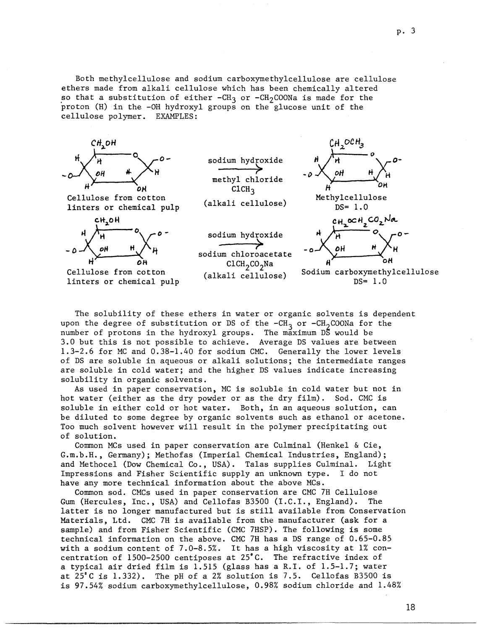Both methylcellulose and sodium carboxyrnethylcellulose are cellulose ethers made from alkali cellulose which has been chemically altered so that a substitution of either -CH<sub>3</sub> or -CH<sub>2</sub>COONa is made for the proton (H) in the -OH hydroxyl groups on the glucose unit of the cellulose polymer. EXAMPLES:



The solubility of these ethers in water or organic solvents is dependent upon the degree of substitution or DS of the  $-CH_3$  or  $-CH_2$ COONa for the number of protons in the hydroxyl groups. The maximum DS would be 3.0 but this is not possible to achieve. Average DS values are between 1.3-2.6 for MC and 0.38-1.40 for sodium CMC. Generally the lower levels of DS are soluble in aqueous or alkali solutions; the intermediate ranges are soluble in cold water; and the higher DS values indicate increasing solubility in organic solvents.

As used in paper conservation, MC is soluble in cold water but not in hot water (either as the dry powder or as the dry film). Sod. CMC is soluble in either cold or hot water. Both, in an aqueous solution, can be diluted to some degree by organic solvents such as ethanol or acetone. Too much solvent however will result in the polymer precipitating out of solution.

Common MCs used in paper conservation are Culminal (Henkel & Cie, G.m.b.H., Germany); Methofas (Imperial Chemical Industries, England); and Methocel (Dow Chemical Co., USA). Talas supplies Culminal. Light Impressions and Fisher Scientific supply an unknown type. I do not have any more technical information about the above MCs.

Common sod. CMCs used in paper conservation are CMC 7H Cellulose Gum (Hercules, Inc., USA) and Cellofas B3500 (I.C.I., England). The latter is no longer manufactured but is still available from Conservation Materials, Ltd. CMC 7H is available from the manufacturer (ask for a sample) and from Fisher Scientific (CMC 7HSP). The following is some technical information on the above. CMC 7H has a DS range of 0.65-0.85 with a sodium content of 7.0-8.5%. It has a high viscosity at 1% concentration of 1500-2500 centiposes at 25°C. The refractive index of a typical air dried film is 1.515 (glass has a R.I. of 1.5-1.7; water at 25"C is 1.332). The pH of a 2% solution is 7.5. Cellofas B3500 is is 97.54% sodium carboxyrnethylcellulose, 0.98% sodium chloride and 1.48%

18